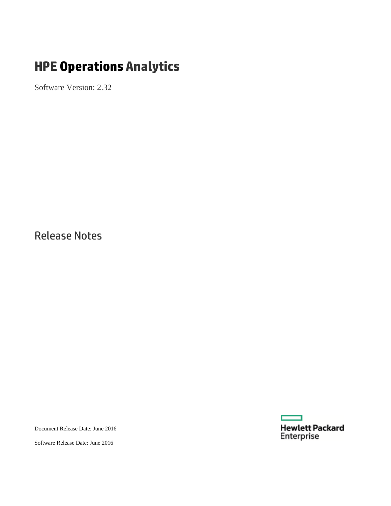# **HPE Operations Analytics**

Software Version: 2.32

Release Notes

Document Release Date: June 2016



**Hewlett Packard**<br>Enterprise

г

Software Release Date: June 2016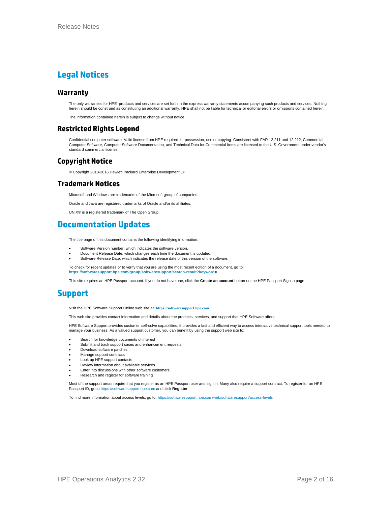### **Legal Notices**

#### **Warranty**

The only warranties for HPE products and services are set forth in the express warranty statements accompanying such products and services. Nothing herein should be construed as constituting an additional warranty. HPE shall not be liable for technical or editorial errors or omissions contained herein.

The information contained herein is subject to change without notice.

#### **Restricted Rights Legend**

Confidential computer software. Valid license from HPE required for possession, use or copying. Consistent with FAR 12.211 and 12.212, Commercial Computer Software, Computer Software Documentation, and Technical Data for Commercial Items are licensed to the U.S. Government under vendor's standard commercial license.

#### **Copyright Notice**

© Copyright 2013-2016 Hewlett Packard Enterprise Development LP

#### **Trademark Notices**

Microsoft and Windows are trademarks of the Microsoft group of companies.

Oracle and Java are registered trademarks of Oracle and/or its affiliates.

UNIX® is a registered trademark of The Open Group.

### **Documentation Updates**

The title page of this document contains the following identifying information:

- Software Version number, which indicates the software version.
- Document Release Date, which changes each time the document is updated.
- Software Release Date, which indicates the release date of this version of the software.

To check for recent updates or to verify that you are using the most recent edition of a document, go to: **[https://softwaresupport.hpe.com/group/softwaresupport/search-result?keyword=](https://softwaresupport.hpe.com/group/softwaresupport/search-result?keyword)**

This site requires an HPE Passport account. If you do not have one, click the **Create an account** button on the HPE Passport Sign in page.

### **Support**

Visit the HPE Software Support Online web site at: **[https://softwaresupport.hpe.com](https://softwaresupport.hpe.com/)**

This web site provides contact information and details about the products, services, and support that HPE Software offers.

HPE Software Support provides customer self-solve capabilities. It provides a fast and efficient way to access interactive technical support tools needed to manage your business. As a valued support customer, you can benefit by using the support web site to:

- Search for knowledge documents of interest
- Submit and track support cases and enhancement requests
- Download software patches
- Manage support contracts
- Look up HPE support contacts
- Review information about available services
- Enter into discussions with other software customers
- Research and register for software training

Most of the support areas require that you register as an HPE Passport user and sign in. Many also require a support contract. To register for an HPE Passport ID, go t[o https://softwaresupport.hpe.com](https://softwaresupport.hpe.com/) and click **Registe**r.

To find more information about access levels, go to[: https://softwaresupport.hpe.com/web/softwaresupport/access-levels](https://softwaresupport.hpe.com/web/softwaresupport/access-levels)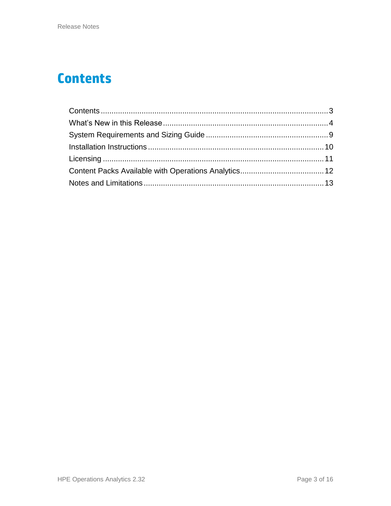## <span id="page-2-0"></span>**Contents**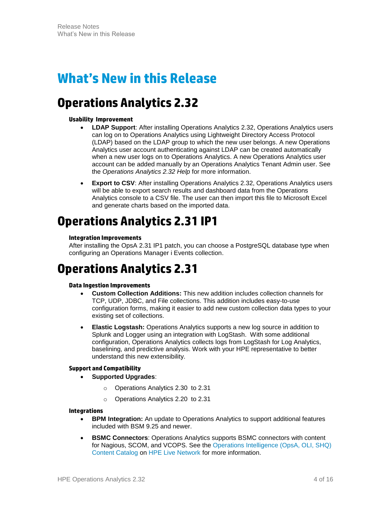## <span id="page-3-0"></span>**What's New in this Release**

## **Operations Analytics 2.32**

#### **Usability Improvement**

- **LDAP Support**: After installing Operations Analytics 2.32, Operations Analytics users can log on to Operations Analytics using Lightweight Directory Access Protocol (LDAP) based on the LDAP group to which the new user belongs. A new Operations Analytics user account authenticating against LDAP can be created automatically when a new user logs on to Operations Analytics. A new Operations Analytics user account can be added manually by an Operations Analytics Tenant Admin user. See the *Operations Analytics 2.32 Help* for more information.
- **Export to CSV**: After installing Operations Analytics 2.32, Operations Analytics users will be able to export search results and dashboard data from the Operations Analytics console to a CSV file. The user can then import this file to Microsoft Excel and generate charts based on the imported data.

## **Operations Analytics 2.31 IP1**

#### **Integration Improvements**

After installing the OpsA 2.31 IP1 patch, you can choose a PostgreSQL database type when configuring an Operations Manager i Events collection.

## **Operations Analytics 2.31**

#### **Data Ingestion Improvements**

- **Custom Collection Additions:** This new addition includes collection channels for TCP, UDP, JDBC, and File collections. This addition includes easy-to-use configuration forms, making it easier to add new custom collection data types to your existing set of collections.
- **Elastic Logstash:** Operations Analytics supports a new log source in addition to Splunk and Logger using an integration with LogStash. With some additional configuration, Operations Analytics collects logs from LogStash for Log Analytics, baselining, and predictive analysis. Work with your HPE representative to better understand this new extensibility.

#### **Support and Compatibility**

- **Supported Upgrades**:
	- o Operations Analytics 2.30 to 2.31
	- o Operations Analytics 2.20 to 2.31

#### **Integrations**

- **BPM Integration:** An update to Operations Analytics to support additional features included with BSM 9.25 and newer.
- **BSMC Connectors**: Operations Analytics supports BSMC connectors with content for Nagious, SCOM, and VCOPS. See the [Operations Intelligence \(OpsA, OLI, SHQ\)](https://hpln.hp.com/node/19333/cc#/search?query=%22%22&filters=%5B%5D)  [Content Catalog](https://hpln.hp.com/node/19333/cc#/search?query=%22%22&filters=%5B%5D) on [HPE Live Network](https://hpln.hp.com/) for more information.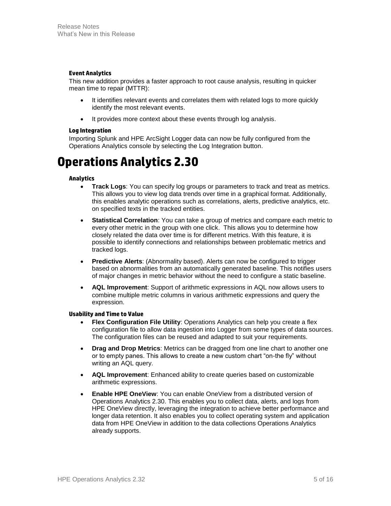#### **Event Analytics**

This new addition provides a faster approach to root cause analysis, resulting in quicker mean time to repair (MTTR):

- It identifies relevant events and correlates them with related logs to more quickly identify the most relevant events.
- It provides more context about these events through log analysis.

#### **Log Integration**

Importing Splunk and HPE ArcSight Logger data can now be fully configured from the Operations Analytics console by selecting the Log Integration button.

## **Operations Analytics 2.30**

#### **Analytics**

- **Track Logs**: You can specify log groups or parameters to track and treat as metrics. This allows you to view log data trends over time in a graphical format. Additionally, this enables analytic operations such as correlations, alerts, predictive analytics, etc. on specified texts in the tracked entities.
- **Statistical Correlation**: You can take a group of metrics and compare each metric to every other metric in the group with one click. This allows you to determine how closely related the data over time is for different metrics. With this feature, it is possible to identify connections and relationships between problematic metrics and tracked logs.
- **Predictive Alerts**: (Abnormality based). Alerts can now be configured to trigger based on abnormalities from an automatically generated baseline. This notifies users of major changes in metric behavior without the need to configure a static baseline.
- **AQL Improvement**: Support of arithmetic expressions in AQL now allows users to combine multiple metric columns in various arithmetic expressions and query the expression.

#### **Usability and Time to Value**

- **Flex Configuration File Utility**: Operations Analytics can help you create a flex configuration file to allow data ingestion into Logger from some types of data sources. The configuration files can be reused and adapted to suit your requirements.
- **Drag and Drop Metrics**: Metrics can be dragged from one line chart to another one or to empty panes. This allows to create a new custom chart "on-the fly" without writing an AQL query.
- **AQL Improvement**: Enhanced ability to create queries based on customizable arithmetic expressions.
- **Enable HPE OneView**: You can enable OneView from a distributed version of Operations Analytics 2.30. This enables you to collect data, alerts, and logs from HPE OneView directly, leveraging the integration to achieve better performance and longer data retention. It also enables you to collect operating system and application data from HPE OneView in addition to the data collections Operations Analytics already supports.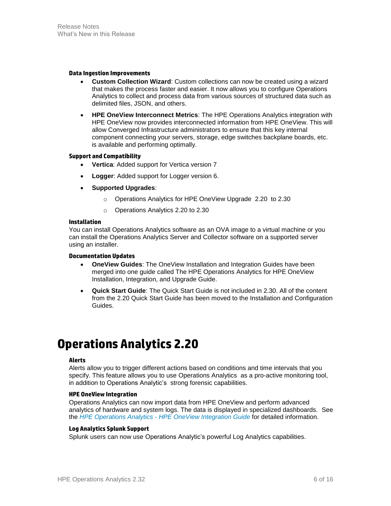#### **Data Ingestion Improvements**

- **Custom Collection Wizard**: Custom collections can now be created using a wizard that makes the process faster and easier. It now allows you to configure Operations Analytics to collect and process data from various sources of structured data such as delimited files, JSON, and others.
- **HPE OneView Interconnect Metrics**: The HPE Operations Analytics integration with HPE OneView now provides interconnected information from HPE OneView. This will allow Converged Infrastructure administrators to ensure that this key internal component connecting your servers, storage, edge switches backplane boards, etc. is available and performing optimally.

#### **Support and Compatibility**

- **Vertica**: Added support for Vertica version 7
- **Logger**: Added support for Logger version 6.
- **Supported Upgrades**:
	- o Operations Analytics for HPE OneView Upgrade 2.20 to 2.30
	- o Operations Analytics 2.20 to 2.30

#### **Installation**

You can install Operations Analytics software as an OVA image to a virtual machine or you can install the Operations Analytics Server and Collector software on a supported server using an installer.

#### **Documentation Updates**

- **OneView Guides**: The OneView Installation and Integration Guides have been merged into one guide called The HPE Operations Analytics for HPE OneView Installation, Integration, and Upgrade Guide.
- **Quick Start Guide**: The Quick Start Guide is not included in 2.30. All of the content from the 2.20 Quick Start Guide has been moved to the Installation and Configuration Guides.

## **Operations Analytics 2.20**

#### **Alerts**

Alerts allow you to trigger different actions based on conditions and time intervals that you specify. This feature allows you to use Operations Analytics as a pro-active monitoring tool, in addition to Operations Analytic's strong forensic capabilities.

#### **HPE OneView Integration**

Operations Analytics can now import data from HPE OneView and perform advanced analytics of hardware and system logs. The data is displayed in specialized dashboards. See the *HPE Operations Analytics - HPE [OneView Integration Guide](https://softwaresupport.hp.com/group/softwaresupport/search-result/-/facetsearch/document/KM01292423)* for detailed information.

#### **Log Analytics Splunk Support**

Splunk users can now use Operations Analytic's powerful Log Analytics capabilities.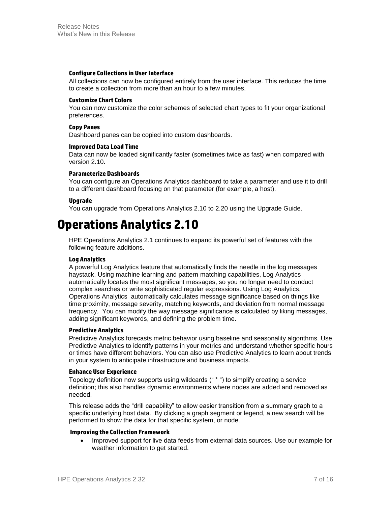#### **Configure Collections in User Interface**

All collections can now be configured entirely from the user interface. This reduces the time to create a collection from more than an hour to a few minutes.

#### **Customize Chart Colors**

You can now customize the color schemes of selected chart types to fit your organizational preferences.

#### **Copy Panes**

Dashboard panes can be copied into custom dashboards.

#### **Improved Data Load Time**

Data can now be loaded significantly faster (sometimes twice as fast) when compared with version 2.10.

#### **Parameterize Dashboards**

You can configure an Operations Analytics dashboard to take a parameter and use it to drill to a different dashboard focusing on that parameter (for example, a host).

#### **Upgrade**

You can upgrade from Operations Analytics 2.10 to 2.20 using the Upgrade Guide.

## **Operations Analytics 2.10**

HPE Operations Analytics 2.1 continues to expand its powerful set of features with the following feature additions.

#### **Log Analytics**

A powerful Log Analytics feature that automatically finds the needle in the log messages haystack. Using machine learning and pattern matching capabilities, Log Analytics automatically locates the most significant messages, so you no longer need to conduct complex searches or write sophisticated regular expressions. Using Log Analytics, Operations Analytics automatically calculates message significance based on things like time proximity, message severity, matching keywords, and deviation from normal message frequency. You can modify the way message significance is calculated by liking messages, adding significant keywords, and defining the problem time.

#### **Predictive Analytics**

Predictive Analytics forecasts metric behavior using baseline and seasonality algorithms. Use Predictive Analytics to identify patterns in your metrics and understand whether specific hours or times have different behaviors. You can also use Predictive Analytics to learn about trends in your system to anticipate infrastructure and business impacts.

#### **Enhance User Experience**

Topology definition now supports using wildcards (" \* ") to simplify creating a service definition; this also handles dynamic environments where nodes are added and removed as needed.

This release adds the "drill capability" to allow easier transition from a summary graph to a specific underlying host data. By clicking a graph segment or legend, a new search will be performed to show the data for that specific system, or node.

#### **Improving the Collection Framework**

• Improved support for live data feeds from external data sources. Use our example for weather information to get started.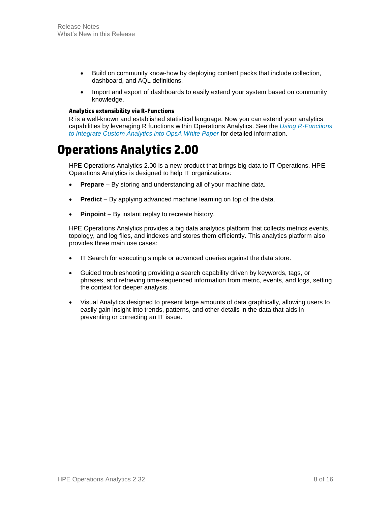- Build on community know-how by deploying content packs that include collection, dashboard, and AQL definitions.
- Import and export of dashboards to easily extend your system based on community knowledge.

#### **Analytics extensibility via R-Functions**

R is a well-known and established statistical language. Now you can extend your analytics capabilities by leveraging R functions within Operations Analytics. See the *[Using R-Functions](https://softwaresupport.hp.com/group/softwaresupport/search-result/-/facetsearch/document/KM00823778)  [to Integrate Custom Analytics into OpsA White Paper](https://softwaresupport.hp.com/group/softwaresupport/search-result/-/facetsearch/document/KM00823778)* for detailed information.

### **Operations Analytics 2.00**

HPE Operations Analytics 2.00 is a new product that brings big data to IT Operations. HPE Operations Analytics is designed to help IT organizations:

- **Prepare** By storing and understanding all of your machine data.
- **Predict** By applying advanced machine learning on top of the data.
- **Pinpoint** By instant replay to recreate history.

HPE Operations Analytics provides a big data analytics platform that collects metrics events, topology, and log files, and indexes and stores them efficiently. This analytics platform also provides three main use cases:

- IT Search for executing simple or advanced queries against the data store.
- Guided troubleshooting providing a search capability driven by keywords, tags, or phrases, and retrieving time-sequenced information from metric, events, and logs, setting the context for deeper analysis.
- Visual Analytics designed to present large amounts of data graphically, allowing users to easily gain insight into trends, patterns, and other details in the data that aids in preventing or correcting an IT issue.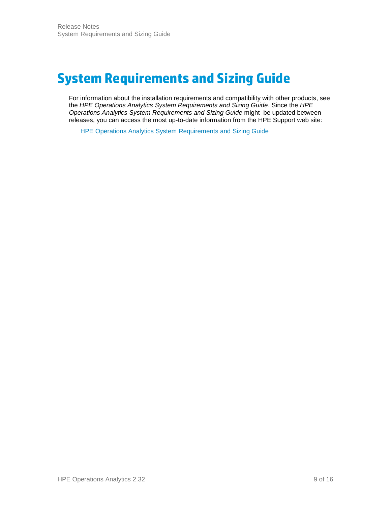## <span id="page-8-0"></span>**System Requirements and Sizing Guide**

For information about the installation requirements and compatibility with other products, see the *HPE Operations Analytics System Requirements and Sizing Guide*. Since the *HPE Operations Analytics System Requirements and Sizing Guide* might be updated between releases, you can access the most up-to-date information from the HPE Support web site:

HPE [Operations Analytics System Requirements and Sizing Guide](https://softwaresupport.hp.com/group/softwaresupport/search-result/-/facetsearch/document/KM01737448)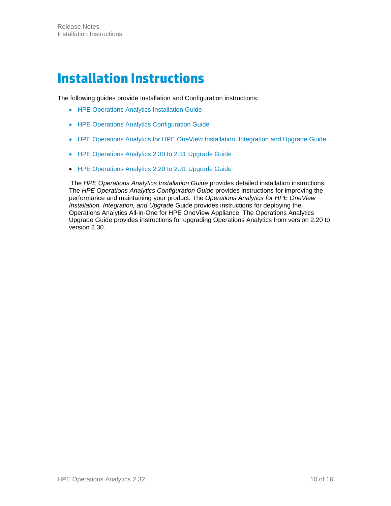## <span id="page-9-0"></span>**Installation Instructions**

The following guides provide Installation and Configuration instructions:

- HPE [Operations Analytics Installation Guide](https://softwaresupport.hp.com/group/softwaresupport/search-result/-/facetsearch/document/KM01737440)
- HPE [Operations Analytics Configuration Guide](https://softwaresupport.hp.com/group/softwaresupport/search-result/-/facetsearch/document/KM01737468)
- HPE Operations Analytics for HPE [OneView Installation, Integration and Upgrade Guide](https://softwaresupport.hp.com/group/softwaresupport/search-result/-/facetsearch/document/KM01737442)
- HPE [Operations Analytics 2.30 to 2.31 Upgrade Guide](https://softwaresupport.hp.com/group/softwaresupport/search-result/-/facetsearch/document/KM01739438)
- HPE [Operations Analytics 2.20 to 2.31](https://softwaresupport.hp.com/group/softwaresupport/search-result/-/facetsearch/document/KM01737446) Upgrade Guide

The *HPE Operations Analytics Installation Guide* provides detailed installation instructions. The *HPE Operations Analytics Configuration Guide* provides instructions for improving the performance and maintaining your product. The *Operations Analytics for HPE OneView Installation, Integration, and Upgrade* Guide provides instructions for deploying the Operations Analytics All-in-One for HPE OneView Appliance. The Operations Analytics Upgrade Guide provides instructions for upgrading Operations Analytics from version 2.20 to version 2.30.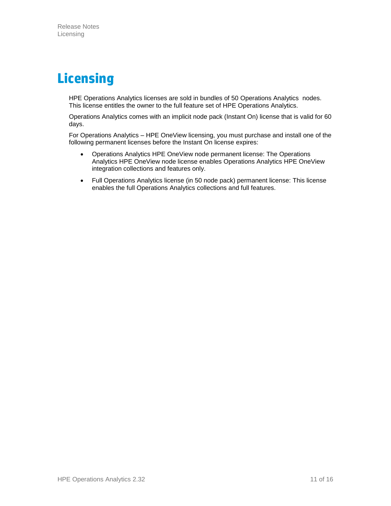# <span id="page-10-0"></span>**Licensing**

HPE Operations Analytics licenses are sold in bundles of 50 Operations Analytics nodes. This license entitles the owner to the full feature set of HPE Operations Analytics.

Operations Analytics comes with an implicit node pack (Instant On) license that is valid for 60 days.

For Operations Analytics – HPE OneView licensing, you must purchase and install one of the following permanent licenses before the Instant On license expires:

- Operations Analytics HPE OneView node permanent license: The Operations Analytics HPE OneView node license enables Operations Analytics HPE OneView integration collections and features only.
- Full Operations Analytics license (in 50 node pack) permanent license: This license enables the full Operations Analytics collections and full features.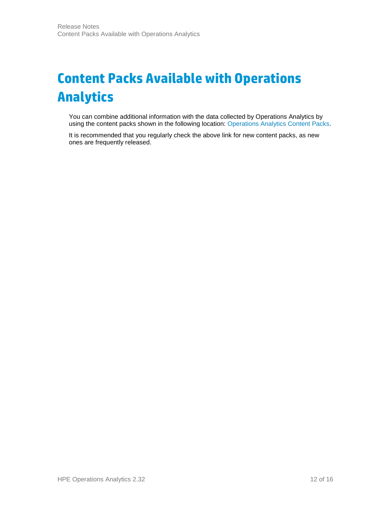# <span id="page-11-0"></span>**Content Packs Available with Operations Analytics**

You can combine additional information with the data collected by Operations Analytics by using the content packs shown in the following location: [Operations Analytics Content Packs.](https://hpln.hp.com/node/19333/contentfiles)

It is recommended that you regularly check the above link for new content packs, as new ones are frequently released.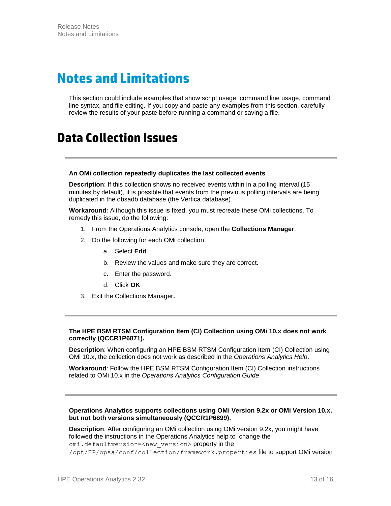## <span id="page-12-0"></span>**Notes and Limitations**

This section could include examples that show script usage, command line usage, command line syntax, and file editing. If you copy and paste any examples from this section, carefully review the results of your paste before running a command or saving a file.

## **Data Collection Issues**

#### **An OMi collection repeatedly duplicates the last collected events**

**Description**: If this collection shows no received events within in a polling interval (15 minutes by default), it is possible that events from the previous polling intervals are being duplicated in the obsadb database (the Vertica database).

**Workaround**: Although this issue is fixed, you must recreate these OMi collections. To remedy this issue, do the following:

- 1. From the Operations Analytics console, open the **Collections Manager**.
- 2. Do the following for each OMi collection:
	- a. Select **Edit**
	- b. Review the values and make sure they are correct.
	- c. Enter the password.
	- d. Click **OK**
- 3. Exit the Collections Manager**.**

#### **The HPE BSM RTSM Configuration Item (CI) Collection using OMi 10.x does not work correctly (QCCR1P6871).**

**Description**: When configuring an HPE BSM RTSM Configuration Item (CI) Collection using OMi 10.x, the collection does not work as described in the *Operations Analytics Help*.

**Workaround**: Follow the HPE BSM RTSM Configuration Item (CI) Collection instructions related to OMi 10.x in the *Operations Analytics Configuration Guide*.

#### **Operations Analytics supports collections using OMi Version 9.2x or OMi Version 10.x, but not both versions simultaneously (QCCR1P6899).**

**Description**: After configuring an OMi collection using OMi version 9.2x, you might have followed the instructions in the Operations Analytics help to change the omi.defaultversion=<new\_version> property in the /opt/HP/opsa/conf/collection/framework.properties file to support OMi version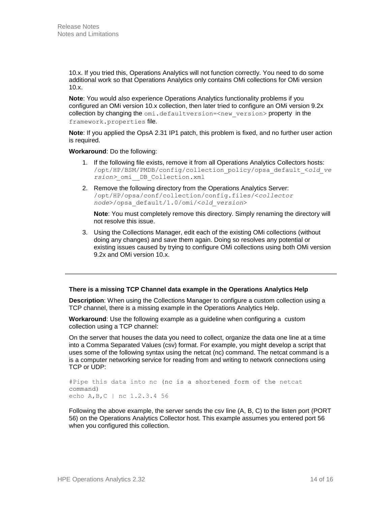10.x. If you tried this, Operations Analytics will not function correctly. You need to do some additional work so that Operations Analytics only contains OMi collections for OMi version 10.x.

**Note**: You would also experience Operations Analytics functionality problems if you configured an OMi version 10.x collection, then later tried to configure an OMi version 9.2x collection by changing the  $omi$ .defaultversion=<new\_version> property in the framework.properties file.

**Note**: If you applied the OpsA 2.31 IP1 patch, this problem is fixed, and no further user action is required.

#### **Workaround**: Do the following:

- 1. If the following file exists, remove it from all Operations Analytics Collectors hosts: /opt/HP/BSM/PMDB/config/collection\_policy/opsa\_default\_<*old\_ve rsion>\_*omi\_\_DB\_Collection.xml
- 2. Remove the following directory from the Operations Analytics Server: /opt/HP/opsa/conf/collection/config.files/<*collector node*>/opsa\_default/1.0/omi/<*old\_version*>

**Note**: You must completely remove this directory. Simply renaming the directory will not resolve this issue.

3. Using the Collections Manager, edit each of the existing OMi collections (without doing any changes) and save them again. Doing so resolves any potential or existing issues caused by trying to configure OMi collections using both OMi version 9.2x and OMi version 10.x.

#### **There is a missing TCP Channel data example in the Operations Analytics Help**

**Description**: When using the Collections Manager to configure a custom collection using a TCP channel, there is a missing example in the Operations Analytics Help.

**Workaround**: Use the following example as a guideline when configuring a custom collection using a TCP channel:

On the server that houses the data you need to collect, organize the data one line at a time into a Comma Separated Values (csv) format. For example, you might develop a script that uses some of the following syntax using the netcat (nc) command. The netcat command is a is a computer networking service for reading from and writing to network connections using TCP or UDP:

#Pipe this data into nc (nc is a shortened form of the netcat command) echo A,B,C | nc 1.2.3.4 56

Following the above example, the server sends the csv line (A, B, C) to the listen port (PORT 56) on the Operations Analytics Collector host. This example assumes you entered port 56 when you configured this collection.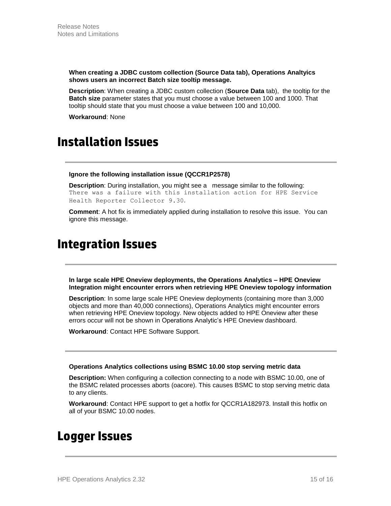**When creating a JDBC custom collection (Source Data tab), Operations Analtyics shows users an incorrect Batch size tooltip message.** 

**Description**: When creating a JDBC custom collection (**Source Data** tab), the tooltip for the **Batch size** parameter states that you must choose a value between 100 and 1000. That tooltip should state that you must choose a value between 100 and 10,000.

**Workaround**: None

### **Installation Issues**

#### **Ignore the following installation issue (QCCR1P2578)**

**Description**: During installation, you might see a message similar to the following: There was a failure with this installation action for HPE Service Health Reporter Collector 9.30.

**Comment**: A hot fix is immediately applied during installation to resolve this issue. You can ignore this message.

### **Integration Issues**

**In large scale HPE Oneview deployments, the Operations Analytics – HPE Oneview Integration might encounter errors when retrieving HPE Oneview topology information**

**Description**: In some large scale HPE Oneview deployments (containing more than 3,000 objects and more than 40,000 connections), Operations Analytics might encounter errors when retrieving HPE Oneview topology. New objects added to HPE Oneview after these errors occur will not be shown in Operations Analytic's HPE Oneview dashboard.

**Workaround**: Contact HPE Software Support.

#### **Operations Analytics collections using BSMC 10.00 stop serving metric data**

**Description:** When configuring a collection connecting to a node with BSMC 10.00, one of the BSMC related processes aborts (oacore). This causes BSMC to stop serving metric data to any clients.

**Workaround**: Contact HPE support to get a hotfix for QCCR1A182973. Install this hotfix on all of your BSMC 10.00 nodes.

### **Logger Issues**